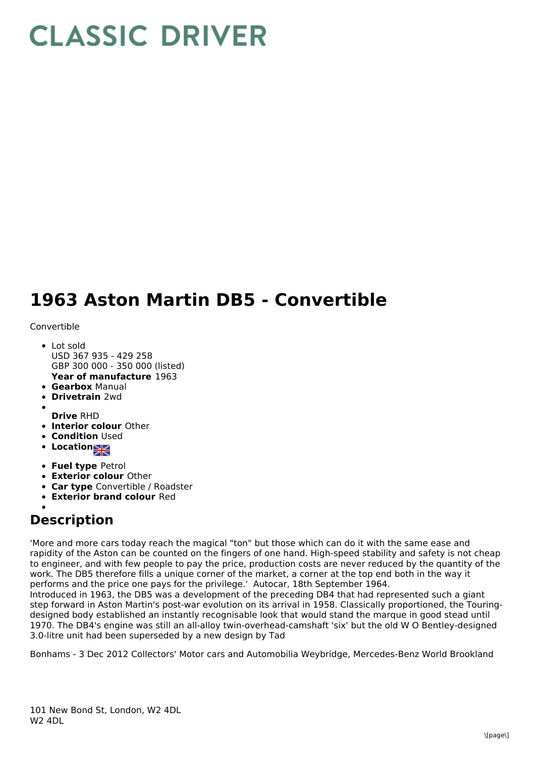## **CLASSIC DRIVER**

## **1963 Aston Martin DB5 - Convertible**

Convertible

- **Year of manufacture** 1963 Lot sold USD 367 935 - 429 258 GBP 300 000 - 350 000 (listed)
- **Gearbox** Manual
- **Drivetrain** 2wd
- **Drive** RHD
- **Interior colour** Other
- **Condition Used**
- **Locations**
- **Fuel type** Petrol
- **Exterior colour** Other
- **Car type** Convertible / Roadster
- **Exterior brand colour** Red

## **Description**

'More and more cars today reach the magical "ton" but those which can do it with the same ease and rapidity of the Aston can be counted on the fingers of one hand. High-speed stability and safety is not cheap to engineer, and with few people to pay the price, production costs are never reduced by the quantity of the work. The DB5 therefore fills a unique corner of the market, a corner at the top end both in the way it performs and the price one pays for the privilege.' Autocar, 18th September 1964.

Introduced in 1963, the DB5 was a development of the preceding DB4 that had represented such a giant step forward in Aston Martin's post-war evolution on its arrival in 1958. Classically proportioned, the Touringdesigned body established an instantly recognisable look that would stand the marque in good stead until 1970. The DB4's engine was still an all-alloy twin-overhead-camshaft 'six' but the old W O Bentley-designed 3.0-litre unit had been superseded by a new design by Tad

Bonhams - 3 Dec 2012 Collectors' Motor cars and Automobilia Weybridge, Mercedes-Benz World Brookland